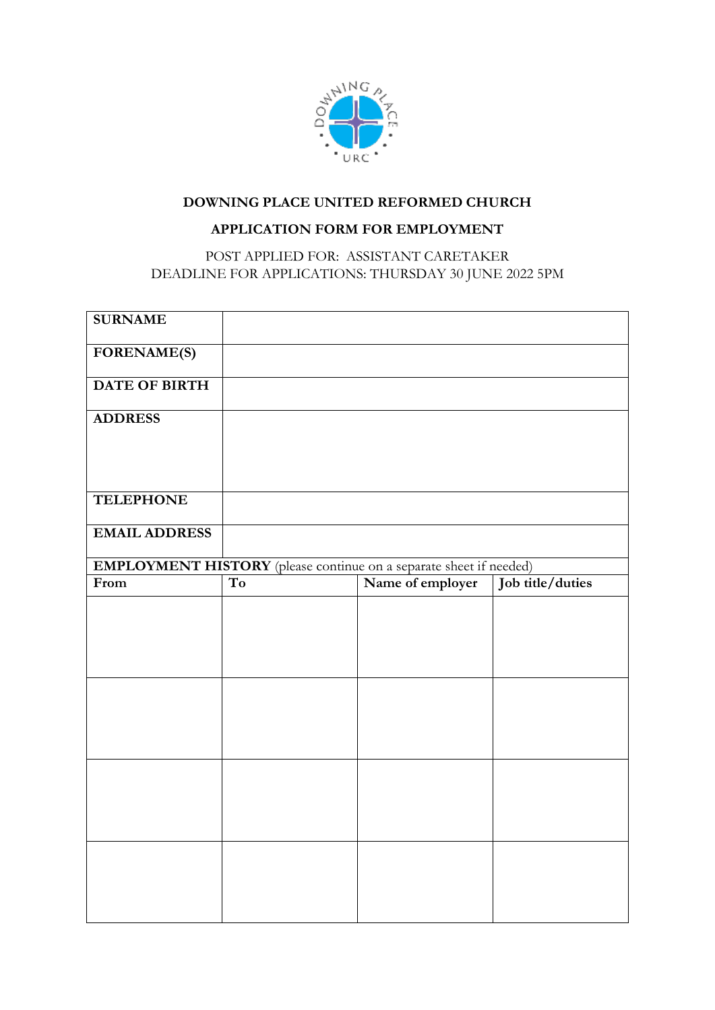

# **DOWNING PLACE UNITED REFORMED CHURCH**

## **APPLICATION FORM FOR EMPLOYMENT**

POST APPLIED FOR: ASSISTANT CARETAKER DEADLINE FOR APPLICATIONS: THURSDAY 30 JUNE 2022 5PM

| <b>SURNAME</b>       |    |                                                                           |                  |
|----------------------|----|---------------------------------------------------------------------------|------------------|
| <b>FORENAME(S)</b>   |    |                                                                           |                  |
| <b>DATE OF BIRTH</b> |    |                                                                           |                  |
| <b>ADDRESS</b>       |    |                                                                           |                  |
|                      |    |                                                                           |                  |
| <b>TELEPHONE</b>     |    |                                                                           |                  |
| <b>EMAIL ADDRESS</b> |    |                                                                           |                  |
|                      |    | <b>EMPLOYMENT HISTORY</b> (please continue on a separate sheet if needed) |                  |
| From                 | To | Name of employer                                                          | Job title/duties |
|                      |    |                                                                           |                  |
|                      |    |                                                                           |                  |
|                      |    |                                                                           |                  |
|                      |    |                                                                           |                  |
|                      |    |                                                                           |                  |
|                      |    |                                                                           |                  |
|                      |    |                                                                           |                  |
|                      |    |                                                                           |                  |
|                      |    |                                                                           |                  |
|                      |    |                                                                           |                  |
|                      |    |                                                                           |                  |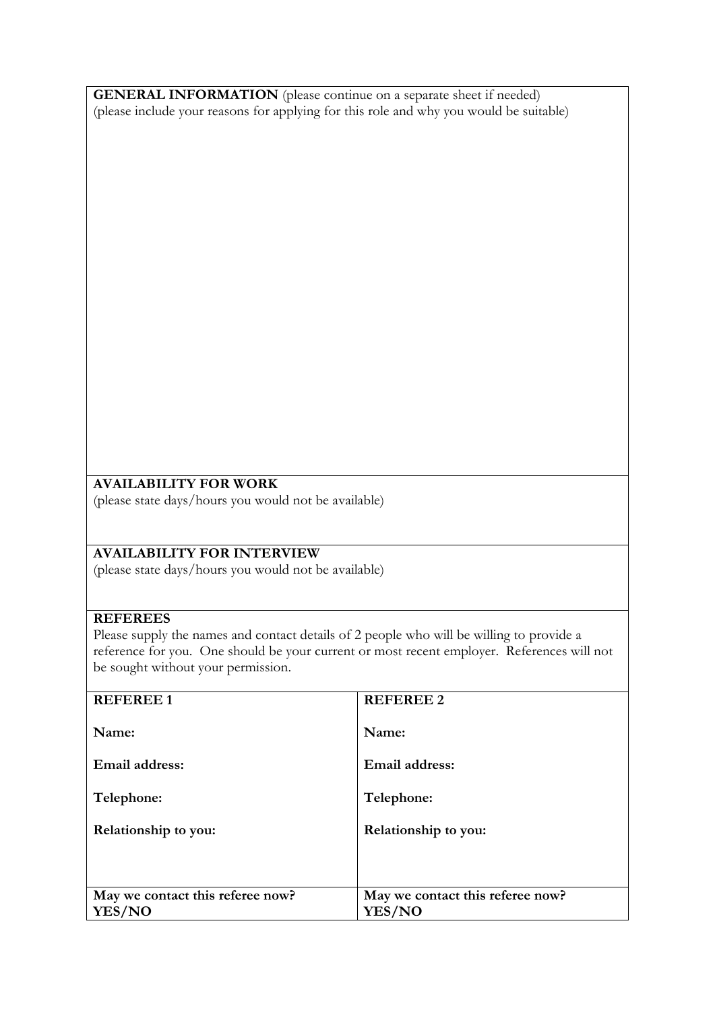**GENERAL INFORMATION** (please continue on a separate sheet if needed) (please include your reasons for applying for this role and why you would be suitable)

## **AVAILABILITY FOR WORK**

(please state days/hours you would not be available)

#### **AVAILABILITY FOR INTERVIEW**

(please state days/hours you would not be available)

#### **REFEREES**

Please supply the names and contact details of 2 people who will be willing to provide a reference for you. One should be your current or most recent employer. References will not be sought without your permission.

| <b>REFEREE1</b>                  | <b>REFEREE 2</b>                 |
|----------------------------------|----------------------------------|
|                                  |                                  |
| Name:                            | Name:                            |
|                                  |                                  |
| Email address:                   | Email address:                   |
|                                  |                                  |
| Telephone:                       | Telephone:                       |
|                                  |                                  |
| Relationship to you:             | Relationship to you:             |
|                                  |                                  |
|                                  |                                  |
| May we contact this referee now? | May we contact this referee now? |
|                                  |                                  |
| YES/NO                           | YES/NO                           |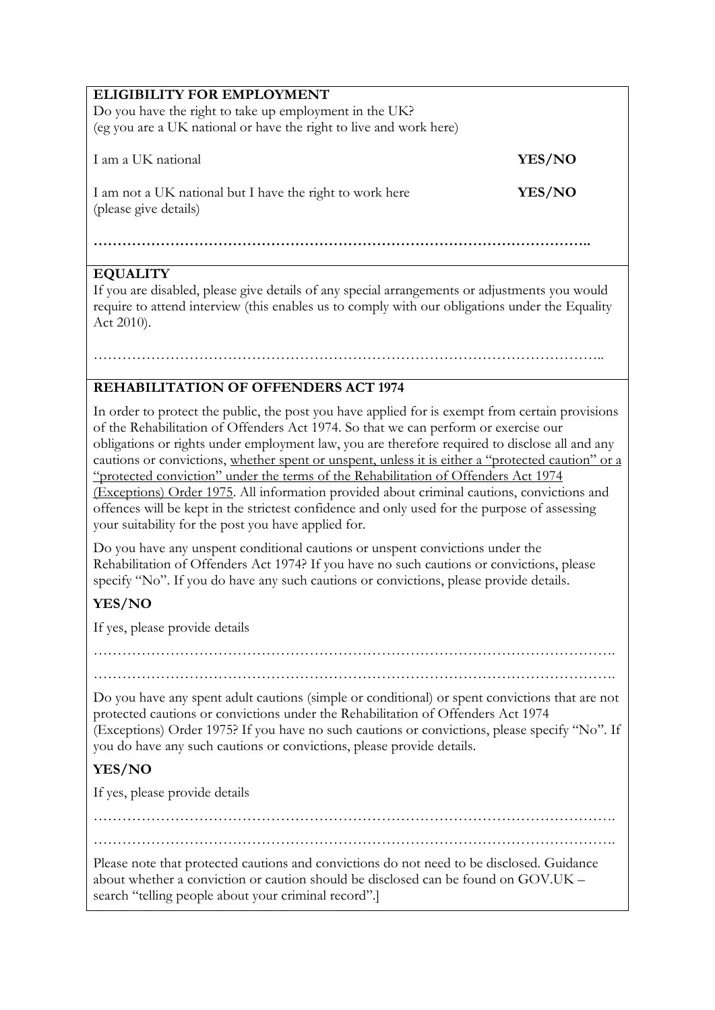| <b>ELIGIBILITY FOR EMPLOYMENT</b>                                                                 |        |  |  |  |
|---------------------------------------------------------------------------------------------------|--------|--|--|--|
| Do you have the right to take up employment in the UK?                                            |        |  |  |  |
| (eg you are a UK national or have the right to live and work here)                                |        |  |  |  |
|                                                                                                   |        |  |  |  |
| I am a UK national                                                                                | YES/NO |  |  |  |
| I am not a UK national but I have the right to work here                                          | YES/NO |  |  |  |
| (please give details)                                                                             |        |  |  |  |
|                                                                                                   |        |  |  |  |
|                                                                                                   |        |  |  |  |
|                                                                                                   |        |  |  |  |
|                                                                                                   |        |  |  |  |
| <b>EQUALITY</b>                                                                                   |        |  |  |  |
| If you are disabled, please give details of any special arrangements or adjustments you would     |        |  |  |  |
| require to attend interview (this enables us to comply with our obligations under the Equality    |        |  |  |  |
| Act 2010).                                                                                        |        |  |  |  |
|                                                                                                   |        |  |  |  |
|                                                                                                   |        |  |  |  |
|                                                                                                   |        |  |  |  |
| <b>REHABILITATION OF OFFENDERS ACT 1974</b>                                                       |        |  |  |  |
| In order to protect the public, the post you have applied for is exempt from certain provisions   |        |  |  |  |
| of the Rehabilitation of Offenders Act 1974. So that we can perform or exercise our               |        |  |  |  |
| obligations or rights under employment law, you are therefore required to disclose all and any    |        |  |  |  |
| cautions or convictions, whether spent or unspent, unless it is either a "protected caution" or a |        |  |  |  |
| "protected conviction" under the terms of the Rehabilitation of Offenders Act 1974                |        |  |  |  |
| (Exceptions) Order 1975. All information provided about criminal cautions, convictions and        |        |  |  |  |
| offences will be kept in the strictest confidence and only used for the purpose of assessing      |        |  |  |  |

your suitability for the post you have applied for.

Do you have any unspent conditional cautions or unspent convictions under the Rehabilitation of Offenders Act 1974? If you have no such cautions or convictions, please specify "No". If you do have any such cautions or convictions, please provide details.

# **YES/NO**

If yes, please provide details

………………………………………………………………………………………………. ……………………………………………………………………………………………….

Do you have any spent adult cautions (simple or conditional) or spent convictions that are not protected cautions or convictions under the Rehabilitation of Offenders Act 1974 (Exceptions) Order 1975? If you have no such cautions or convictions, please specify "No". If you do have any such cautions or convictions, please provide details.

# **YES/NO**

If yes, please provide details

………………………………………………………………………………………………. ……………………………………………………………………………………………….

Please note that protected cautions and convictions do not need to be disclosed. Guidance about whether a conviction or caution should be disclosed can be found on GOV.UK – search "telling people about your criminal record".]